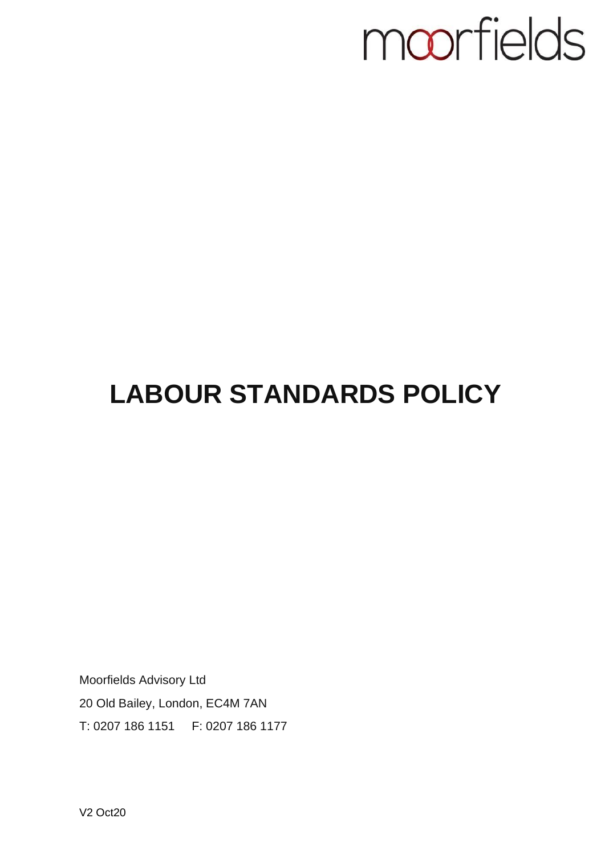## moorfields

## **LABOUR STANDARDS POLICY**

Moorfields Advisory Ltd 20 Old Bailey, London, EC4M 7AN T: 0207 186 1151 F: 0207 186 1177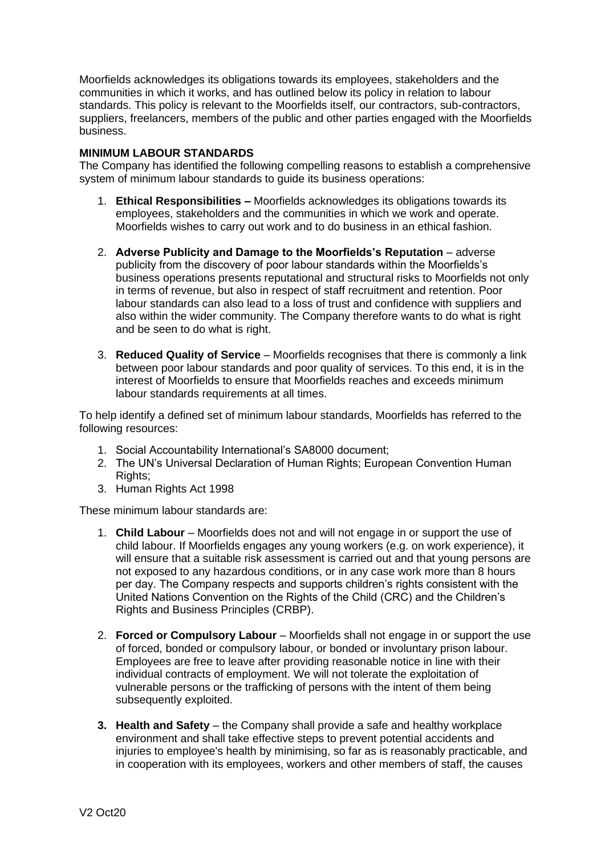Moorfields acknowledges its obligations towards its employees, stakeholders and the communities in which it works, and has outlined below its policy in relation to labour standards. This policy is relevant to the Moorfields itself, our contractors, sub-contractors, suppliers, freelancers, members of the public and other parties engaged with the Moorfields business.

## **MINIMUM LABOUR STANDARDS**

The Company has identified the following compelling reasons to establish a comprehensive system of minimum labour standards to guide its business operations:

- 1. **Ethical Responsibilities –** Moorfields acknowledges its obligations towards its employees, stakeholders and the communities in which we work and operate. Moorfields wishes to carry out work and to do business in an ethical fashion.
- 2. **Adverse Publicity and Damage to the Moorfields's Reputation**  adverse publicity from the discovery of poor labour standards within the Moorfields's business operations presents reputational and structural risks to Moorfields not only in terms of revenue, but also in respect of staff recruitment and retention. Poor labour standards can also lead to a loss of trust and confidence with suppliers and also within the wider community. The Company therefore wants to do what is right and be seen to do what is right.
- 3. **Reduced Quality of Service**  Moorfields recognises that there is commonly a link between poor labour standards and poor quality of services. To this end, it is in the interest of Moorfields to ensure that Moorfields reaches and exceeds minimum labour standards requirements at all times.

To help identify a defined set of minimum labour standards, Moorfields has referred to the following resources:

- 1. Social Accountability International's SA8000 document;
- 2. The UN's Universal Declaration of Human Rights; European Convention Human Rights:
- 3. Human Rights Act 1998

These minimum labour standards are:

- 1. **Child Labour**  Moorfields does not and will not engage in or support the use of child labour. If Moorfields engages any young workers (e.g. on work experience), it will ensure that a suitable risk assessment is carried out and that young persons are not exposed to any hazardous conditions, or in any case work more than 8 hours per day. The Company respects and supports children's rights consistent with the United Nations Convention on the Rights of the Child (CRC) and the Children's Rights and Business Principles (CRBP).
- 2. **Forced or Compulsory Labour**  Moorfields shall not engage in or support the use of forced, bonded or compulsory labour, or bonded or involuntary prison labour. Employees are free to leave after providing reasonable notice in line with their individual contracts of employment. We will not tolerate the exploitation of vulnerable persons or the trafficking of persons with the intent of them being subsequently exploited.
- **3. Health and Safety** the Company shall provide a safe and healthy workplace environment and shall take effective steps to prevent potential accidents and injuries to employee's health by minimising, so far as is reasonably practicable, and in cooperation with its employees, workers and other members of staff, the causes